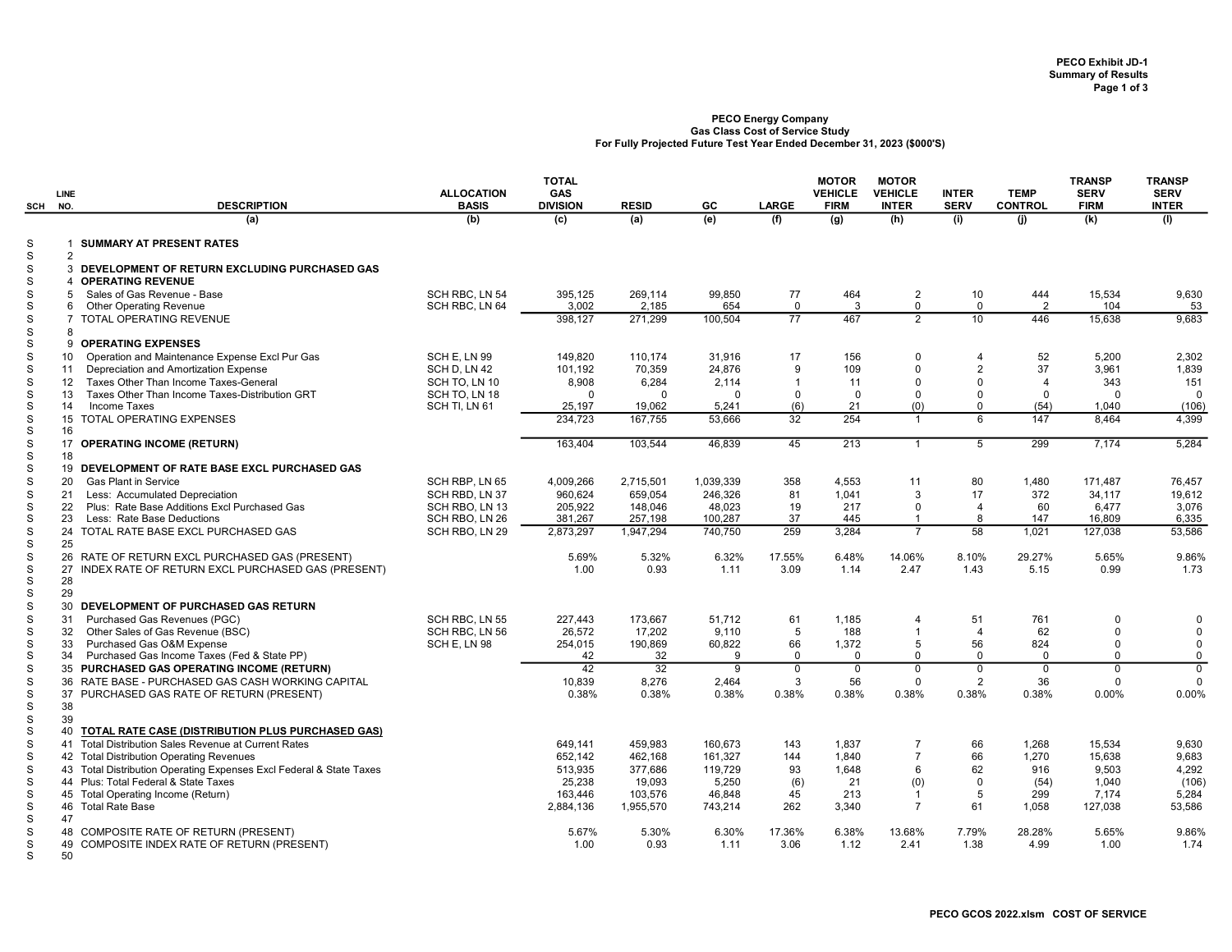## PECO Energy Company Gas Class Cost of Service Study For Fully Projected Future Test Year Ended December 31, 2023 (\$000'S)

| SCH                    | <b>LINE</b><br>NO.  | <b>DESCRIPTION</b>                                                                                  | <b>ALLOCATION</b><br><b>BASIS</b> | <b>TOTAL</b><br><b>GAS</b><br><b>DIVISION</b> | <b>RESID</b>         | GC                   | <b>LARGE</b>      | <b>MOTOR</b><br><b>VEHICLE</b><br><b>FIRM</b> | <b>MOTOR</b><br><b>VEHICLE</b><br><b>INTER</b> | <b>INTER</b><br><b>SERV</b> | <b>TEMP</b><br><b>CONTROL</b> | <b>TRANSP</b><br><b>SERV</b><br><b>FIRM</b> | <b>TRANSP</b><br><b>SERV</b><br><b>INTER</b> |
|------------------------|---------------------|-----------------------------------------------------------------------------------------------------|-----------------------------------|-----------------------------------------------|----------------------|----------------------|-------------------|-----------------------------------------------|------------------------------------------------|-----------------------------|-------------------------------|---------------------------------------------|----------------------------------------------|
|                        |                     | (a)                                                                                                 | (b)                               | (c)                                           | (a)                  | (e)                  | (f)               | (g)                                           | (h)                                            | (i)                         | (i)                           | (k)                                         | (1)                                          |
| S<br>$\mathbf S$       | 1                   | <b>SUMMARY AT PRESENT RATES</b>                                                                     |                                   |                                               |                      |                      |                   |                                               |                                                |                             |                               |                                             |                                              |
| S<br>S                 | $\overline{2}$      | 3 DEVELOPMENT OF RETURN EXCLUDING PURCHASED GAS<br><b>OPERATING REVENUE</b>                         |                                   |                                               |                      |                      |                   |                                               |                                                |                             |                               |                                             |                                              |
| S<br>S                 | 5<br>6              | Sales of Gas Revenue - Base<br><b>Other Operating Revenue</b>                                       | SCH RBC. LN 54<br>SCH RBC, LN 64  | 395,125<br>3.002                              | 269,114<br>2.185     | 99,850<br>654        | 77<br>$\Omega$    | 464<br>3                                      | $\overline{2}$<br>$\mathbf 0$                  | 10<br>$\mathbf 0$           | 444<br>2                      | 15,534<br>104                               | 9,630<br>53                                  |
| ${\tt S}$<br>${\tt S}$ | $\overline{7}$<br>8 | <b>TOTAL OPERATING REVENUE</b>                                                                      |                                   | 398,127                                       | 271,299              | 100,504              | $\overline{77}$   | 467                                           | $\overline{2}$                                 | 10                          | 446                           | 15,638                                      | 9,683                                        |
| ${\tt S}$<br>S         | 10                  | 9 OPERATING EXPENSES<br>Operation and Maintenance Expense Excl Pur Gas                              | SCH E. LN 99                      | 149.820                                       | 110.174              | 31,916               | 17                | 156                                           | $\mathbf{0}$                                   | 4                           | 52                            | 5.200                                       | 2,302                                        |
| S                      | 11                  | Depreciation and Amortization Expense                                                               | SCH D, LN 42                      | 101,192                                       | 70,359               | 24,876               | 9                 | 109                                           | $\mathbf 0$<br>$\Omega$                        | $\overline{2}$<br>$\Omega$  | 37<br>$\overline{4}$          | 3,961                                       | 1,839                                        |
| S<br>S                 | 12<br>13            | Taxes Other Than Income Taxes-General<br>Taxes Other Than Income Taxes-Distribution GRT             | SCH TO, LN 10<br>SCH TO, LN 18    | 8,908<br>$\Omega$                             | 6,284<br>$\Omega$    | 2,114<br>$\mathbf 0$ | $\Omega$          | 11<br>$\Omega$                                | $\mathbf 0$                                    | $\Omega$                    | 0                             | 343<br>$\mathbf 0$                          | 151<br>$\mathbf{0}$                          |
| S                      | 14                  | <b>Income Taxes</b>                                                                                 | SCH TI, LN 61                     | 25,197                                        | 19,062               | 5,241                | (6)               | 21                                            | (0)                                            | $\Omega$                    | (54)                          | 1,040                                       | (106)                                        |
| S<br>$\mathbf S$       | 15<br>16            | <b>TOTAL OPERATING EXPENSES</b>                                                                     |                                   | 234.723                                       | 167.755              | 53,666               | $\overline{32}$   | 254                                           | $\overline{1}$                                 | 6                           | 147                           | 8.464                                       | 4,399                                        |
| S<br>S                 | 18                  | 17 OPERATING INCOME (RETURN)                                                                        |                                   | 163.404                                       | 103.544              | 46.839               | 45                | 213                                           | $\overline{1}$                                 | $\overline{5}$              | 299                           | 7,174                                       | 5,284                                        |
| S                      |                     | 19 DEVELOPMENT OF RATE BASE EXCL PURCHASED GAS                                                      |                                   |                                               |                      |                      |                   |                                               |                                                |                             |                               |                                             |                                              |
| S                      | 20                  | <b>Gas Plant in Service</b>                                                                         | SCH RBP. LN 65                    | 4.009.266                                     | 2,715,501            | 1.039.339            | 358               | 4,553                                         | 11                                             | 80                          | 1.480                         | 171.487                                     | 76,457                                       |
| S                      | 21                  | Less: Accumulated Depreciation                                                                      | SCH RBD, LN 37                    | 960.624                                       | 659.054              | 246.326              | 81                | 1.041                                         | 3                                              | 17                          | 372                           | 34.117                                      | 19.612                                       |
| S                      | 22                  | Plus: Rate Base Additions Excl Purchased Gas                                                        | SCH RBO, LN 13                    | 205,922                                       | 148,046              | 48,023               | 19                | 217                                           | $\mathbf 0$                                    | $\overline{4}$              | 60                            | 6,477                                       | 3,076                                        |
| S<br>S                 | 23                  | Less: Rate Base Deductions<br>24 TOTAL RATE BASE EXCL PURCHASED GAS                                 | SCH RBO, LN 26<br>SCH RBO, LN 29  | 381,267<br>2,873,297                          | 257,198<br>1,947,294 | 100,287<br>740,750   | 37<br>259         | 445<br>3,284                                  | $\overline{1}$<br>$\overline{7}$               | 8<br>58                     | 147<br>1,021                  | 16,809<br>127,038                           | 6,335<br>53,586                              |
| S                      | 25                  |                                                                                                     |                                   |                                               |                      |                      |                   |                                               |                                                |                             |                               |                                             |                                              |
| S<br>${\tt S}$         | 26                  | RATE OF RETURN EXCL PURCHASED GAS (PRESENT)<br>27 INDEX RATE OF RETURN EXCL PURCHASED GAS (PRESENT) |                                   | 5.69%<br>1.00                                 | 5.32%<br>0.93        | 6.32%<br>1.11        | 17.55%<br>3.09    | 6.48%<br>1.14                                 | 14.06%<br>2.47                                 | 8.10%<br>1.43               | 29.27%<br>5.15                | 5.65%<br>0.99                               | 9.86%<br>1.73                                |
| S<br>S                 | 28<br>29            |                                                                                                     |                                   |                                               |                      |                      |                   |                                               |                                                |                             |                               |                                             |                                              |
| S                      | 30                  | DEVELOPMENT OF PURCHASED GAS RETURN                                                                 |                                   |                                               |                      |                      |                   |                                               |                                                |                             |                               |                                             |                                              |
| S                      | 31                  | Purchased Gas Revenues (PGC)                                                                        | SCH RBC. LN 55                    | 227.443                                       | 173.667              | 51.712               | 61                | 1.185                                         | $\overline{4}$                                 | 51                          | 761                           | $\Omega$                                    | $\mathbf 0$                                  |
| S                      | 32                  | Other Sales of Gas Revenue (BSC)                                                                    | SCH RBC, LN 56                    | 26,572                                        | 17,202               | 9,110                | 5                 | 188                                           | $\overline{1}$                                 | $\overline{4}$              | 62                            | $\Omega$                                    | $\mathbf 0$                                  |
| S<br>S                 | 33<br>34            | Purchased Gas O&M Expense<br>Purchased Gas Income Taxes (Fed & State PP)                            | SCH E, LN 98                      | 254,015<br>42                                 | 190,869<br>32        | 60,822<br>9          | 66<br>$\mathbf 0$ | 1,372<br>$\mathbf{0}$                         | 5<br>$\mathbf 0$                               | 56<br>$\mathbf 0$           | 824<br>$\mathbf 0$            | $\mathbf 0$<br>$\mathbf 0$                  | $\mathbf 0$<br>$\mathbf 0$                   |
| S                      |                     | 35 PURCHASED GAS OPERATING INCOME (RETURN)                                                          |                                   | 42                                            | 32                   | $\overline{9}$       | $\overline{0}$    | $\overline{0}$                                | $\mathbf 0$                                    | $\overline{0}$              | $\overline{0}$                | $\mathbf 0$                                 | $\Omega$                                     |
| S                      |                     | 36 RATE BASE - PURCHASED GAS CASH WORKING CAPITAL                                                   |                                   | 10,839                                        | 8.276                | 2,464                | 3                 | 56                                            | $\mathbf 0$                                    | 2                           | 36                            | $\Omega$                                    | $\Omega$                                     |
| $\mathbf S$            | 37                  | PURCHASED GAS RATE OF RETURN (PRESENT)                                                              |                                   | 0.38%                                         | 0.38%                | 0.38%                | 0.38%             | 0.38%                                         | 0.38%                                          | 0.38%                       | 0.38%                         | 0.00%                                       | 0.00%                                        |
| S                      | 38                  |                                                                                                     |                                   |                                               |                      |                      |                   |                                               |                                                |                             |                               |                                             |                                              |
| ${\tt S}$<br>${\tt S}$ | 39<br>40            | TOTAL RATE CASE (DISTRIBUTION PLUS PURCHASED GAS)                                                   |                                   |                                               |                      |                      |                   |                                               |                                                |                             |                               |                                             |                                              |
| S                      | 41                  | Total Distribution Sales Revenue at Current Rates                                                   |                                   | 649.141                                       | 459.983              | 160.673              | 143               | 1.837                                         | $\overline{7}$                                 | 66                          | 1.268                         | 15.534                                      | 9.630                                        |
| S                      |                     | 42 Total Distribution Operating Revenues                                                            |                                   | 652.142                                       | 462,168              | 161,327              | 144               | 1.840                                         | $\overline{7}$                                 | 66                          | 1,270                         | 15,638                                      | 9,683                                        |
| S                      |                     | 43 Total Distribution Operating Expenses Excl Federal & State Taxes                                 |                                   | 513,935                                       | 377,686              | 119,729              | 93                | 1,648                                         | 6                                              | 62                          | 916                           | 9,503                                       | 4,292                                        |
| S                      |                     | 44 Plus: Total Federal & State Taxes                                                                |                                   | 25,238                                        | 19,093               | 5,250                | (6)               | 21                                            | (0)                                            | $\mathsf 0$                 | (54)                          | 1,040                                       | (106)                                        |
| S                      |                     | 45 Total Operating Income (Return)                                                                  |                                   | 163,446                                       | 103,576              | 46,848               | 45                | 213                                           | $\overline{1}$                                 | 5                           | 299                           | 7,174                                       | 5,284                                        |
| S                      |                     | 46 Total Rate Base                                                                                  |                                   | 2,884,136                                     | 1,955,570            | 743,214              | 262               | 3.340                                         | $\overline{7}$                                 | 61                          | 1.058                         | 127,038                                     | 53,586                                       |
| S<br>S                 | 47                  | 48 COMPOSITE RATE OF RETURN (PRESENT)                                                               |                                   | 5.67%                                         | 5.30%                | 6.30%                | 17.36%            | 6.38%                                         | 13.68%                                         | 7.79%                       | 28.28%                        | 5.65%                                       | 9.86%                                        |
| S                      | 49                  | COMPOSITE INDEX RATE OF RETURN (PRESENT)                                                            |                                   | 1.00                                          | 0.93                 | 1.11                 | 3.06              | 1.12                                          | 2.41                                           | 1.38                        | 4.99                          | 1.00                                        | 1.74                                         |
| S                      | 50                  |                                                                                                     |                                   |                                               |                      |                      |                   |                                               |                                                |                             |                               |                                             |                                              |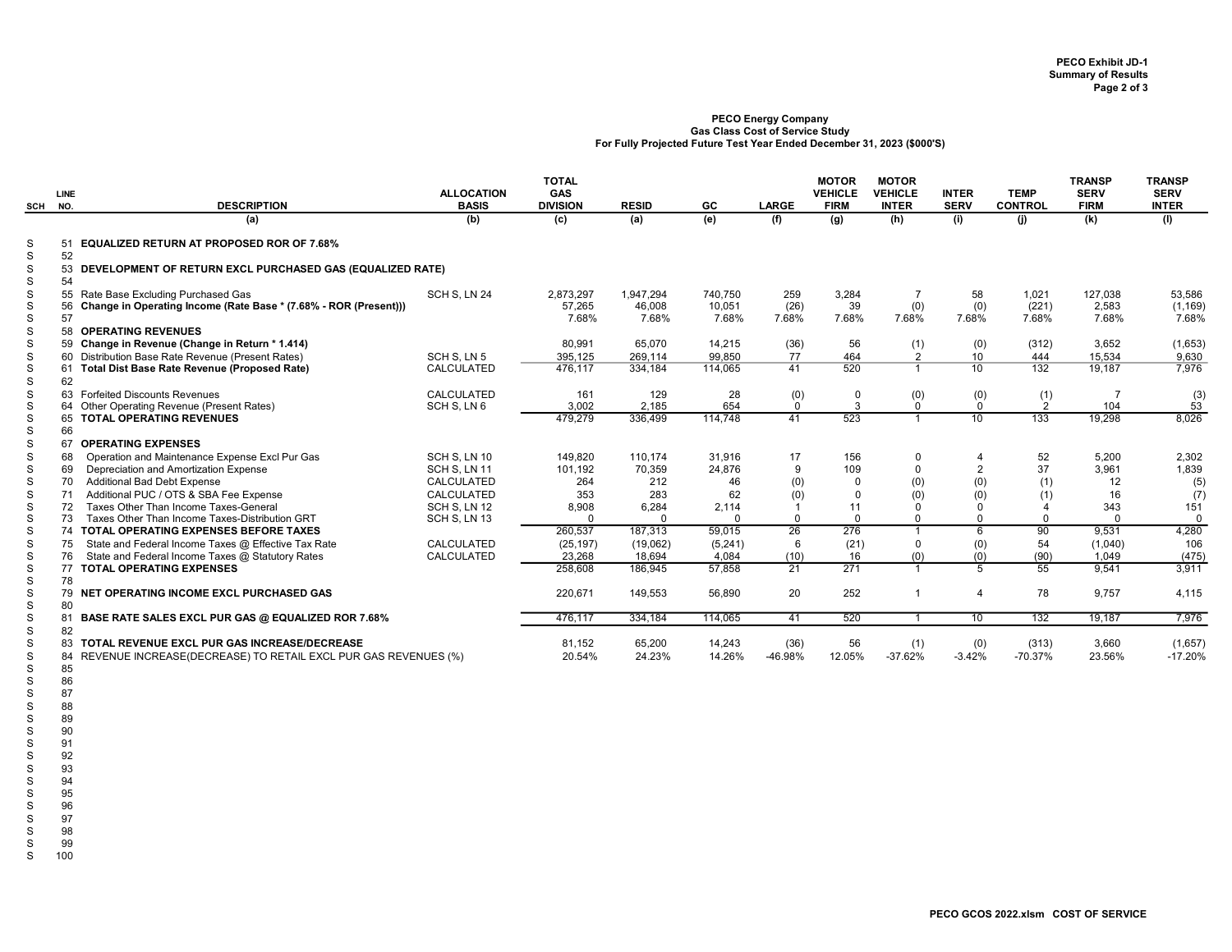PECO GCOS 2022.xlsm COST OF SERVICE

## PECO Energy Company Gas Class Cost of Service Study For Fully Projected Future Test Year Ended December 31, 2023 (\$000'S)

| SCH                                  | LINE<br>NO.          | <b>DESCRIPTION</b>                                                                                                                   | <b>ALLOCATION</b><br><b>BASIS</b> | <b>TOTAL</b><br><b>GAS</b><br><b>DIVISION</b> | <b>RESID</b>                 | GC                         | <b>LARGE</b>         | <b>MOTOR</b><br><b>VEHICLE</b><br><b>FIRM</b> | <b>MOTOR</b><br><b>VEHICLE</b><br><b>INTER</b> | <b>INTER</b><br><b>SERV</b> | <b>TEMP</b><br><b>CONTROL</b> | <b>TRANSP</b><br><b>SERV</b><br><b>FIRM</b> | <b>TRANSP</b><br><b>SERV</b><br><b>INTER</b> |
|--------------------------------------|----------------------|--------------------------------------------------------------------------------------------------------------------------------------|-----------------------------------|-----------------------------------------------|------------------------------|----------------------------|----------------------|-----------------------------------------------|------------------------------------------------|-----------------------------|-------------------------------|---------------------------------------------|----------------------------------------------|
|                                      |                      | (a)                                                                                                                                  | (b)                               | (c)                                           | (a)                          | (e)                        | (f)                  | $\overline{g}$                                | (h)                                            | (i)                         | (i)                           | (k)                                         | (1)                                          |
| S<br>$\mathbf S$                     | 52                   | 51 EQUALIZED RETURN AT PROPOSED ROR OF 7.68%                                                                                         |                                   |                                               |                              |                            |                      |                                               |                                                |                             |                               |                                             |                                              |
| S<br>$\mathbf S$                     | 54                   | 53 DEVELOPMENT OF RETURN EXCL PURCHASED GAS (EQUALIZED RATE)                                                                         |                                   |                                               |                              |                            |                      |                                               |                                                |                             |                               |                                             |                                              |
| S<br>$\mathbf S$<br>$\mathbf S$<br>S | 57                   | 55 Rate Base Excluding Purchased Gas<br>56 Change in Operating Income (Rate Base * (7.68% - ROR (Present)))<br>58 OPERATING REVENUES | SCH S. LN 24                      | 2,873,297<br>57,265<br>7.68%                  | 1,947,294<br>46,008<br>7.68% | 740,750<br>10,051<br>7.68% | 259<br>(26)<br>7.68% | 3,284<br>39<br>7.68%                          | $\overline{7}$<br>(0)<br>7.68%                 | 58<br>(0)<br>7.68%          | 1,021<br>(221)<br>7.68%       | 127,038<br>2,583<br>7.68%                   | 53,586<br>(1, 169)<br>7.68%                  |
| S                                    |                      | 59 Change in Revenue (Change in Return * 1.414)                                                                                      |                                   | 80.991                                        | 65.070                       | 14.215                     | (36)                 | 56                                            | (1)                                            | (0)                         | (312)                         | 3,652                                       | (1,653)                                      |
| $\mathbf S$<br>S<br>$\mathbf S$      | 62                   | 60 Distribution Base Rate Revenue (Present Rates)<br>61 Total Dist Base Rate Revenue (Proposed Rate)                                 | SCH S, LN 5<br>CALCULATED         | 395,125<br>476.117                            | 269,114<br>334,184           | 99,850<br>114,065          | 77<br>41             | 464<br>520                                    | $\overline{2}$<br>$\overline{1}$               | 10 <sup>1</sup><br>10       | 444<br>132                    | 15,534<br>19,187                            | 9,630<br>7,976                               |
| $\mathbf S$<br>S                     |                      | 63 Forfeited Discounts Revenues<br>64 Other Operating Revenue (Present Rates)                                                        | CALCULATED<br>SCH S, LN 6         | 161<br>3,002                                  | 129<br>2.185                 | 28<br>654                  | (0)<br>$\Omega$      | $\mathbf 0$<br>3                              | (0)<br>$\mathbf{0}$                            | (0)<br>$\mathbf 0$          | (1)<br>2                      | $\overline{7}$<br>104                       | $^{(3)}_{53}$                                |
| $\mathbf S$<br>$\mathbf S$<br>S      | 66                   | 65 TOTAL OPERATING REVENUES<br>67 OPERATING EXPENSES                                                                                 |                                   | 479,279                                       | 336,499                      | 114,748                    | 41                   | 523                                           | $\overline{1}$                                 | 10                          | 133                           | 19,298                                      | 8,026                                        |
| S                                    | 68                   | Operation and Maintenance Expense Excl Pur Gas                                                                                       | SCH S. LN 10                      | 149.820                                       | 110.174                      | 31.916                     | 17                   | 156                                           | $\mathbf 0$                                    | $\overline{4}$              | 52                            | 5.200                                       | 2,302                                        |
| S                                    | 69                   | Depreciation and Amortization Expense                                                                                                | SCH S. LN 11                      | 101,192                                       | 70,359                       | 24,876                     | 9                    | 109                                           | $\Omega$                                       | 2                           | 37                            | 3,961                                       | 1,839                                        |
| S                                    | 70                   | <b>Additional Bad Debt Expense</b>                                                                                                   | CALCULATED                        | 264                                           | 212                          | 46                         | (0)                  | $\Omega$                                      | (0)                                            | (0)                         | (1)                           | 12                                          | (5)                                          |
| $\mathbf S$                          | 71                   | Additional PUC / OTS & SBA Fee Expense                                                                                               | CALCULATED                        | 353                                           | 283                          | 62                         | (0)                  | $\mathbf 0$                                   | (0)                                            | (0)                         | (1)                           | 16                                          | (7)                                          |
| $\mathbf S$                          | 72                   | Taxes Other Than Income Taxes-General                                                                                                | SCH S, LN 12                      | 8,908                                         | 6,284                        | 2,114                      |                      | 11                                            | 0                                              | 0                           | 4                             | 343                                         | 151                                          |
| S                                    | 73                   | Taxes Other Than Income Taxes-Distribution GRT                                                                                       | SCH S, LN 13                      | $\Omega$                                      | $\Omega$                     | $\Omega$                   | $\Omega$             | $\Omega$                                      | $\Omega$                                       | $\Omega$                    | $\Omega$                      | $\Omega$                                    | $\Omega$                                     |
| S                                    |                      | 74 TOTAL OPERATING EXPENSES BEFORE TAXES                                                                                             |                                   | 260,537                                       | 187,313                      | 59,015                     | 26                   | 276                                           |                                                | 6                           | $\overline{90}$               | 9,531                                       | 4,280                                        |
| S<br>$\mathbf S$                     | 75<br>76             | State and Federal Income Taxes @ Effective Tax Rate<br>State and Federal Income Taxes @ Statutory Rates                              | CALCULATED<br>CALCULATED          | (25, 197)<br>23,268                           | (19,062)<br>18,694           | (5,241)<br>4,084           | 6<br>(10)            | (21)                                          | $\mathbf 0$<br>(0)                             | (0)<br>(0)                  | 54<br>(90)                    | (1,040)<br>1,049                            | 106                                          |
| S                                    |                      | 77 TOTAL OPERATING EXPENSES                                                                                                          |                                   | 258,608                                       | 186.945                      | 57,858                     | 21                   | 16<br>271                                     | $\overline{1}$                                 | $\overline{5}$              | 55                            | 9.541                                       | (475)<br>3,911                               |
| S                                    | 78                   |                                                                                                                                      |                                   |                                               |                              |                            |                      |                                               |                                                |                             |                               |                                             |                                              |
| S<br>S                               | 80                   | 79 NET OPERATING INCOME EXCL PURCHASED GAS                                                                                           |                                   | 220,671                                       | 149,553                      | 56,890                     | 20                   | 252                                           | $\overline{1}$                                 | $\overline{4}$              | 78                            | 9,757                                       | 4,115                                        |
| S                                    | 81                   | BASE RATE SALES EXCL PUR GAS @ EQUALIZED ROR 7.68%                                                                                   |                                   | 476,117                                       | 334,184                      | 114,065                    | 41                   | 520                                           |                                                | 10                          | 132                           | 19,187                                      | 7,976                                        |
| S<br>S                               | 82                   | 83 TOTAL REVENUE EXCL PUR GAS INCREASE/DECREASE                                                                                      |                                   | 81,152                                        | 65.200                       | 14,243                     | (36)                 | 56                                            | (1)                                            | (0)                         | (313)                         | 3,660                                       | (1,657)                                      |
| S<br>S<br>S<br>S<br>S                | 85<br>86<br>87<br>88 | 84 REVENUE INCREASE(DECREASE) TO RETAIL EXCL PUR GAS REVENUES (%)                                                                    |                                   | 20.54%                                        | 24.23%                       | 14.26%                     | -46.98%              | 12.05%                                        | $-37.62%$                                      | $-3.42%$                    | $-70.37%$                     | 23.56%                                      | $-17.20%$                                    |

S 91 92